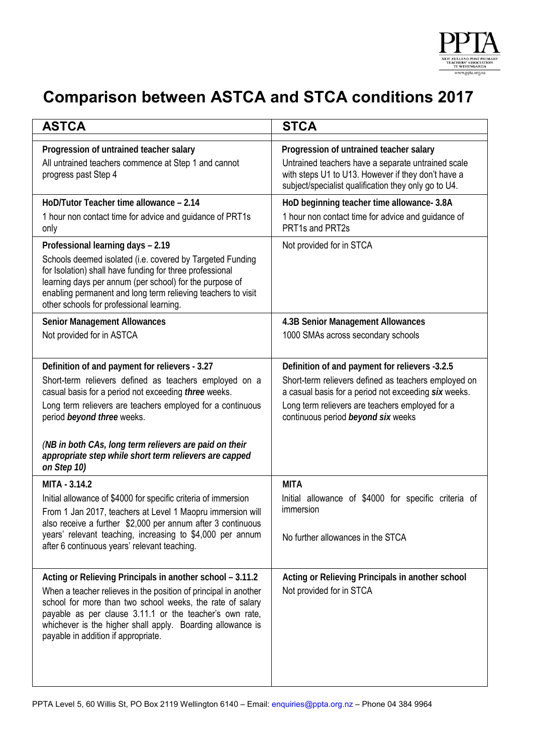

## **Comparison between ASTCA and STCA conditions 2017**

| <b>ASTCA</b>                                                                                                                                                                                                                                                                                                                                              | <b>STCA</b>                                                                                                                                                                                                                                             |
|-----------------------------------------------------------------------------------------------------------------------------------------------------------------------------------------------------------------------------------------------------------------------------------------------------------------------------------------------------------|---------------------------------------------------------------------------------------------------------------------------------------------------------------------------------------------------------------------------------------------------------|
| Progression of untrained teacher salary<br>All untrained teachers commence at Step 1 and cannot<br>progress past Step 4                                                                                                                                                                                                                                   | Progression of untrained teacher salary<br>Untrained teachers have a separate untrained scale<br>with steps U1 to U13. However if they don't have a<br>subject/specialist qualification they only go to U4.                                             |
| HoD/Tutor Teacher time allowance - 2.14<br>1 hour non contact time for advice and guidance of PRT1s<br>only                                                                                                                                                                                                                                               | HoD beginning teacher time allowance- 3.8A<br>1 hour non contact time for advice and guidance of<br>PRT1s and PRT2s                                                                                                                                     |
| Professional learning days - 2.19<br>Schools deemed isolated (i.e. covered by Targeted Funding<br>for Isolation) shall have funding for three professional<br>learning days per annum (per school) for the purpose of<br>enabling permanent and long term relieving teachers to visit<br>other schools for professional learning.                         | Not provided for in STCA                                                                                                                                                                                                                                |
| <b>Senior Management Allowances</b><br>Not provided for in ASTCA                                                                                                                                                                                                                                                                                          | 4.3B Senior Management Allowances<br>1000 SMAs across secondary schools                                                                                                                                                                                 |
| Definition of and payment for relievers - 3.27<br>Short-term relievers defined as teachers employed on a<br>casual basis for a period not exceeding three weeks.<br>Long term relievers are teachers employed for a continuous<br>period beyond three weeks.<br>(NB in both CAs, long term relievers are paid on their                                    | Definition of and payment for relievers -3.2.5<br>Short-term relievers defined as teachers employed on<br>a casual basis for a period not exceeding six weeks.<br>Long term relievers are teachers employed for a<br>continuous period beyond six weeks |
| appropriate step while short term relievers are capped<br>on Step 10)                                                                                                                                                                                                                                                                                     |                                                                                                                                                                                                                                                         |
| MITA - 3.14.2<br>Initial allowance of \$4000 for specific criteria of immersion<br>From 1 Jan 2017, teachers at Level 1 Maopru immersion will<br>also receive a further \$2,000 per annum after 3 continuous<br>years' relevant teaching, increasing to \$4,000 per annum<br>after 6 continuous years' relevant teaching.                                 | <b>MITA</b><br>Initial allowance of \$4000 for specific criteria of<br>immersion<br>No further allowances in the STCA                                                                                                                                   |
| Acting or Relieving Principals in another school - 3.11.2<br>When a teacher relieves in the position of principal in another<br>school for more than two school weeks, the rate of salary<br>payable as per clause 3.11.1 or the teacher's own rate,<br>whichever is the higher shall apply. Boarding allowance is<br>payable in addition if appropriate. | Acting or Relieving Principals in another school<br>Not provided for in STCA                                                                                                                                                                            |